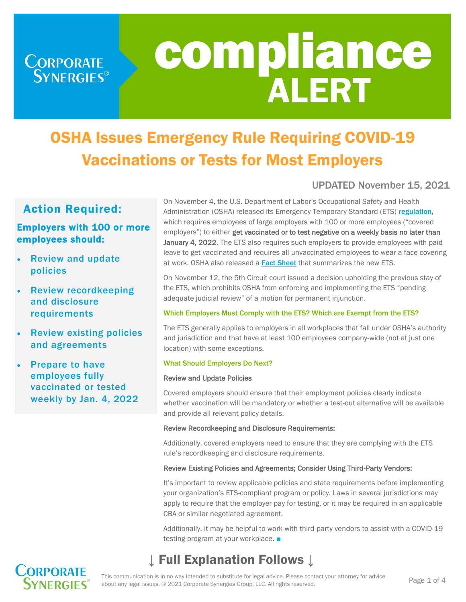**CORPORATE**<br>SYNERGIES®

# compliance ALERT

# OSHA Issues Emergency Rule Requiring COVID-19 Vaccinations or Tests for Most Employers

## UPDATED November 15, 2021

# Action Required:

### Employers with 100 or more employees should:

- Review and update policies
- Review recordkeeping and disclosure requirements
- **Review existing policies** and agreements
- Prepare to have employees fully vaccinated or tested weekly by Jan. 4, 2022

On November 4, the U.S. Department of Labor's Occupational Safety and Health Administration (OSHA) released its Emergency Temporary Standard (ETS) [regulation](https://public-inspection.federalregister.gov/2021-23643.pdf), which requires employees of large employers with 100 or more employees ("covered employers") to either get vaccinated or to test negative on a weekly basis no later than January 4, 2022. The ETS also requires such employers to provide employees with paid leave to get vaccinated and requires all unvaccinated employees to wear a face covering at work. OSHA also released a **[Fact Sheet](https://www.osha.gov/sites/default/files/publications/OSHA4162.pdf)** that summarizes the new ETS.

On November 12, the 5th Circuit court issued a decision upholding the previous stay of the ETS, which prohibits OSHA from enforcing and implementing the ETS "pending adequate judicial review" of a motion for permanent injunction.

#### Which Employers Must Comply with the ETS? Which are Exempt from the ETS?

The ETS generally applies to employers in all workplaces that fall under OSHA's authority and jurisdiction and that have at least 100 employees company-wide (not at just one location) with some exceptions.

#### What Should Employers Do Next?

#### Review and Update Policies

Covered employers should ensure that their employment policies clearly indicate whether vaccination will be mandatory or whether a test-out alternative will be available and provide all relevant policy details.

#### Review Recordkeeping and Disclosure Requirements:

Additionally, covered employers need to ensure that they are complying with the ETS rule's recordkeeping and disclosure requirements.

#### Review Existing Policies and Agreements; Consider Using Third-Party Vendors:

It's important to review applicable policies and state requirements before implementing your organization's ETS-compliant program or policy. Laws in several jurisdictions may apply to require that the employer pay for testing, or it may be required in an applicable CBA or similar negotiated agreement.

Additionally, it may be helpful to work with third-party vendors to assist with a COVID-19 testing program at your workplace. ■

# **Full Explanation Follows ↓**



This communication is in no way intended to substitute for legal advice. Please contact your attorney for advice about any legal issues. © 2021 Corporate Synergies Group, LLC. All rights reserved.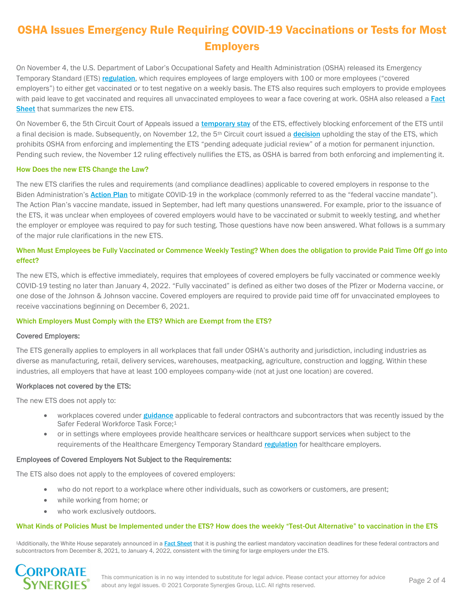# OSHA Issues Emergency Rule Requiring COVID-19 Vaccinations or Tests for Most Employers

On November 4, the U.S. Department of Labor's Occupational Safety and Health Administration (OSHA) released its Emergency Temporary Standard (ETS) [regulation](https://public-inspection.federalregister.gov/2021-23643.pdf), which requires employees of large employers with 100 or more employees ("covered employers") to either get vaccinated or to test negative on a weekly basis. The ETS also requires such employers to provide employees with paid leave to get vaccinated and requires all unvaccinated employees to wear a face covering at work. OSHA also released a Fact [Sheet](https://www.osha.gov/sites/default/files/publications/OSHA4162.pdf) that summarizes the new ETS.

On November 6, the 5th Circuit Court of Appeals issued a [temporary stay](https://www.ca5.uscourts.gov/opinions/unpub/21/21-60845.0.pdf) of the ETS, effectively blocking enforcement of the ETS until a final [decision](https://storage.courtlistener.com/pdf/2021/11/12/bst_holdings_l.l.c._v._osha.pdf) is made. Subsequently, on November 12, the 5<sup>th</sup> Circuit court issued a **decision** upholding the stay of the ETS, which prohibits OSHA from enforcing and implementing the ETS "pending adequate judicial review" of a motion for permanent injunction. Pending such review, the November 12 ruling effectively nullifies the ETS, as OSHA is barred from both enforcing and implementing it.

#### How Does the new ETS Change the Law?

The new ETS clarifies the rules and requirements (and compliance deadlines) applicable to covered employers in response to the Biden Administration's **[Action Plan](https://www.whitehouse.gov/covidplan/)** to mitigate COVID-19 in the workplace (commonly referred to as the "federal vaccine mandate"). The Action Plan's vaccine mandate, issued in September, had left many questions unanswered. For example, prior to the issuance of the ETS, it was unclear when employees of covered employers would have to be vaccinated or submit to weekly testing, and whether the employer or employee was required to pay for such testing. Those questions have now been answered. What follows is a summary of the major rule clarifications in the new ETS.

#### When Must Employees be Fully Vaccinated or Commence Weekly Testing? When does the obligation to provide Paid Time Off go into effect?

The new ETS, which is effective immediately, requires that employees of covered employers be fully vaccinated or commence weekly COVID-19 testing no later than January 4, 2022. "Fully vaccinated" is defined as either two doses of the Pfizer or Moderna vaccine, or one dose of the Johnson & Johnson vaccine. Covered employers are required to provide paid time off for unvaccinated employees to receive vaccinations beginning on December 6, 2021.

#### Which Employers Must Comply with the ETS? Which are Exempt from the ETS?

#### Covered Employers:

The ETS generally applies to employers in all workplaces that fall under OSHA's authority and jurisdiction, including industries as diverse as manufacturing, retail, delivery services, warehouses, meatpacking, agriculture, construction and logging. Within these industries, all employers that have at least 100 employees company-wide (not at just one location) are covered.

#### Workplaces not covered by the ETS:

The new ETS does not apply to:

- workplaces covered under [guidance](https://www.saferfederalworkforce.gov/downloads/Draft%20contractor%20guidance%20doc_20210922.pdf) applicable to federal contractors and subcontractors that was recently issued by the Safer Federal Workforce Task Force;<sup>1</sup>
- or in settings where employees provide healthcare services or healthcare support services when subject to the requirements of the Healthcare Emergency Temporary Standard [regulation](https://www.osha.gov/laws-regs/federalregister/2021-06-21) for healthcare employers.

#### Employees of Covered Employers Not Subject to the Requirements:

The ETS also does not apply to the employees of covered employers:

- who do not report to a workplace where other individuals, such as coworkers or customers, are present;
- while working from home; or
- who work exclusively outdoors.

#### What Kinds of Policies Must be Implemented under the ETS? How does the weekly "Test-Out Alternative" to vaccination in the ETS

1Additionally, the White House separately announced in a [Fact Sheet](https://www.whitehouse.gov/briefing-room/statements-releases/2021/11/04/fact-sheet-biden-administration-announces-details-of-two-major-vaccination-policies/) that it is pushing the earliest mandatory vaccination deadlines for these federal contractors and subcontractors from December 8, 2021, to January 4, 2022, consistent with the timing for large employers under the ETS.

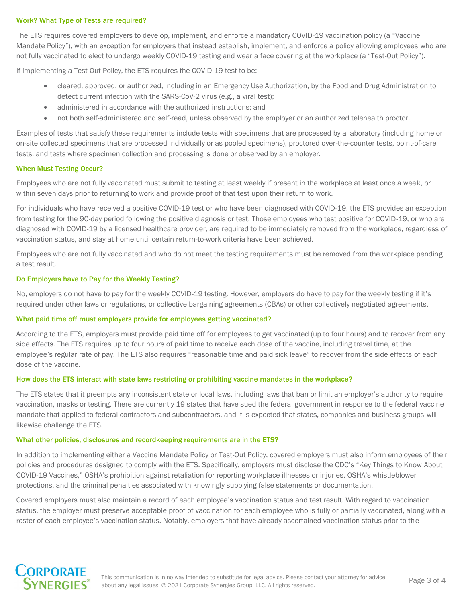#### Work? What Type of Tests are required?

The ETS requires covered employers to develop, implement, and enforce a mandatory COVID-19 vaccination policy (a "Vaccine Mandate Policy"), with an exception for employers that instead establish, implement, and enforce a policy allowing employees who are not fully vaccinated to elect to undergo weekly COVID-19 testing and wear a face covering at the workplace (a "Test-Out Policy").

If implementing a Test-Out Policy, the ETS requires the COVID-19 test to be:

- cleared, approved, or authorized, including in an Emergency Use Authorization, by the Food and Drug Administration to detect current infection with the SARS-CoV-2 virus (e.g., a viral test);
- administered in accordance with the authorized instructions; and
- not both self-administered and self-read, unless observed by the employer or an authorized telehealth proctor.

Examples of tests that satisfy these requirements include tests with specimens that are processed by a laboratory (including home or on-site collected specimens that are processed individually or as pooled specimens), proctored over-the-counter tests, point-of-care tests, and tests where specimen collection and processing is done or observed by an employer.

#### When Must Testing Occur?

Employees who are not fully vaccinated must submit to testing at least weekly if present in the workplace at least once a week, or within seven days prior to returning to work and provide proof of that test upon their return to work.

For individuals who have received a positive COVID-19 test or who have been diagnosed with COVID-19, the ETS provides an exception from testing for the 90-day period following the positive diagnosis or test. Those employees who test positive for COVID-19, or who are diagnosed with COVID-19 by a licensed healthcare provider, are required to be immediately removed from the workplace, regardless of vaccination status, and stay at home until certain return-to-work criteria have been achieved.

Employees who are not fully vaccinated and who do not meet the testing requirements must be removed from the workplace pending a test result.

#### Do Employers have to Pay for the Weekly Testing?

No, employers do not have to pay for the weekly COVID-19 testing. However, employers do have to pay for the weekly testing if it's required under other laws or regulations, or collective bargaining agreements (CBAs) or other collectively negotiated agreements.

#### What paid time off must employers provide for employees getting vaccinated?

According to the ETS, employers must provide paid time off for employees to get vaccinated (up to four hours) and to recover from any side effects. The ETS requires up to four hours of paid time to receive each dose of the vaccine, including travel time, at the employee's regular rate of pay. The ETS also requires "reasonable time and paid sick leave" to recover from the side effects of each dose of the vaccine.

#### How does the ETS interact with state laws restricting or prohibiting vaccine mandates in the workplace?

The ETS states that it preempts any inconsistent state or local laws, including laws that ban or limit an employer's authority to require vaccination, masks or testing. There are currently 19 states that have sued the federal government in response to the federal vaccine mandate that applied to federal contractors and subcontractors, and it is expected that states, companies and business groups will likewise challenge the ETS.

#### What other policies, disclosures and recordkeeping requirements are in the ETS?

In addition to implementing either a Vaccine Mandate Policy or Test-Out Policy, covered employers must also inform employees of their policies and procedures designed to comply with the ETS. Specifically, employers must disclose the CDC's "Key Things to Know About COVID-19 Vaccines," OSHA's prohibition against retaliation for reporting workplace illnesses or injuries, OSHA's whistleblower protections, and the criminal penalties associated with knowingly supplying false statements or documentation.

Covered employers must also maintain a record of each employee's vaccination status and test result. With regard to vaccination status, the employer must preserve acceptable proof of vaccination for each employee who is fully or partially vaccinated, along with a roster of each employee's vaccination status. Notably, employers that have already ascertained vaccination status prior to the